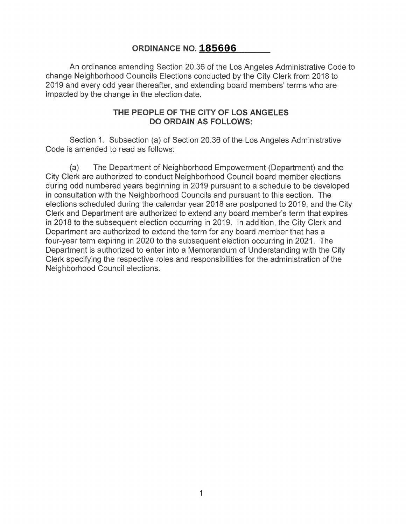## **ORDINANCE NO. 185606**

An ordinance amending Section 20.36 of the Los Angeles Administrative Code to change Neighborhood Councils Elections conducted by the City Clerk from 2018 to 2019 and every odd year thereafter, and extending board members' terms who are impacted by the change in the election date.

## **THE PEOPLE OF THE CITY OF LOS ANGELES DO ORDAIN AS FOLLOWS:**

Section 1. Subsection (a) of Section 20.36 of the Los Angeles Administrative Code is amended to read as follows:

(a) The Department of Neighborhood Empowerment (Department) and the City Clerk are authorized to conduct Neighborhood Council board member elections during odd numbered years beginning in 2019 pursuant to a schedule to be developed in consultation with the Neighborhood Councils and pursuant to this section. The elections scheduled during the calendar year 2018 are postponed to 2019, and the City Clerk and Department are authorized to extend any board member's term that expires in 2018 to the subsequent election occurring in 2019. In addition, the City Clerk and Department are authorized to extend the term for any board member that has a four-year term expiring in 2020 to the subsequent election occurring in 2021. The Department is authorized to enter into a Memorandum of Understanding with the City Clerk specifying the respective roles and responsibilities for the administration of the Neighborhood Council elections.